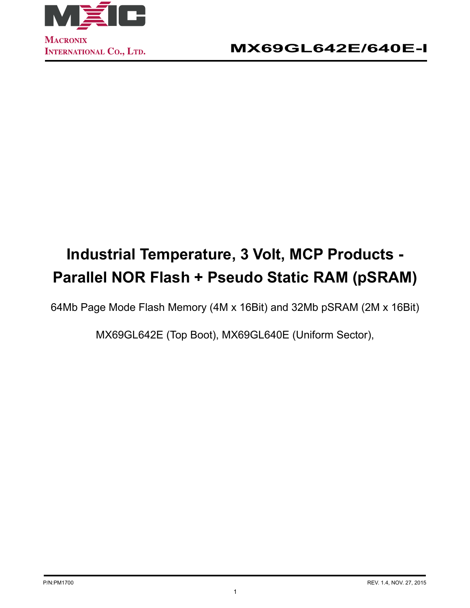

# **Industrial Temperature, 3 Volt, MCP Products - Parallel NOR Flash + Pseudo Static RAM (pSRAM)**

64Mb Page Mode Flash Memory (4M x 16Bit) and 32Mb pSRAM (2M x 16Bit)

MX69GL642E (Top Boot), MX69GL640E (Uniform Sector),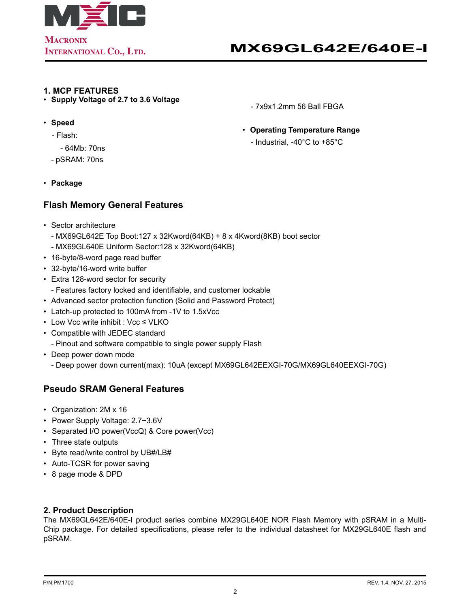

#### **1. MCP FEATURES**

• **Supply Voltage of 2.7 to 3.6 Voltage**

- 7x9x1.2mm 56 Ball FBGA
- • **Operating Temperature Range**
	- Industrial, -40°C to +85°C
- • **Speed** - Flash:
	- 64Mb: 70ns
	- pSRAM: 70ns
- • **Package**

# **Flash Memory General Features**

- • Sector architecture
	- MX69GL642E Top Boot:127 x 32Kword(64KB) + 8 x 4Kword(8KB) boot sector
	- MX69GL640E Uniform Sector:128 x 32Kword(64KB)
- • 16-byte/8-word page read buffer
- • 32-byte/16-word write buffer
- • Extra 128-word sector for security
- Features factory locked and identifiable, and customer lockable
- Advanced sector protection function (Solid and Password Protect)
- Latch-up protected to 100mA from -1V to 1.5xVcc
- • Low Vcc write inhibit : Vcc ≤ VLKO
- • Compatible with JEDEC standard
	- Pinout and software compatible to single power supply Flash
- • Deep power down mode
	- Deep power down current(max): 10uA (except MX69GL642EEXGI-70G/MX69GL640EEXGI-70G)

# **Pseudo SRAM General Features**

- • Organization: 2M x 16
- Power Supply Voltage: 2.7~3.6V
- • Separated I/O power(VccQ) & Core power(Vcc)
- • Three state outputs
- • Byte read/write control by UB#/LB#
- • Auto-TCSR for power saving
- • 8 page mode & DPD

### **2. Product Description**

The MX69GL642E/640E-I product series combine MX29GL640E NOR Flash Memory with pSRAM in a Multi-Chip package. For detailed specifications, please refer to the individual datasheet for MX29GL640E flash and pSRAM.

- -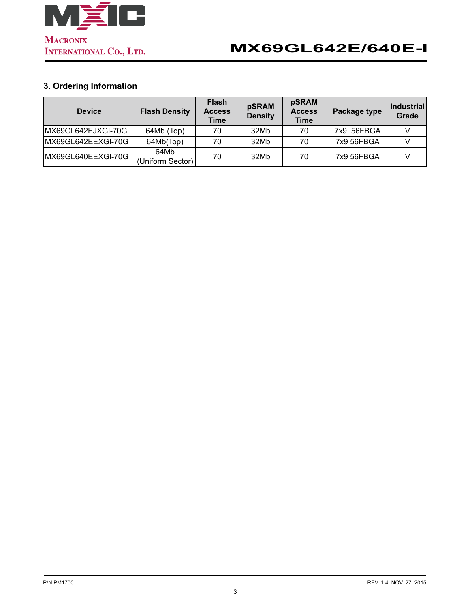

# **3. Ordering Information**

| <b>Device</b>      | <b>Flash Density</b>     | <b>Flash</b><br><b>Access</b><br>Time | pSRAM<br><b>Density</b> | pSRAM<br><b>Access</b><br><b>Time</b> | <b>Package type</b> | ∣Industrial∣<br>Grade |
|--------------------|--------------------------|---------------------------------------|-------------------------|---------------------------------------|---------------------|-----------------------|
| MX69GL642EJXGI-70G | 64Mb (Top)               | 70                                    | 32Mb                    | 70                                    | 7x9 56FBGA          |                       |
| MX69GL642EEXGI-70G | 64Mb(Top)                | 70                                    | 32Mb                    | 70                                    | 7x9 56FBGA          |                       |
| MX69GL640EEXGI-70G | 64Mb<br>(Uniform Sector) | 70                                    | 32Mb                    | 70                                    | 7x9 56FBGA          |                       |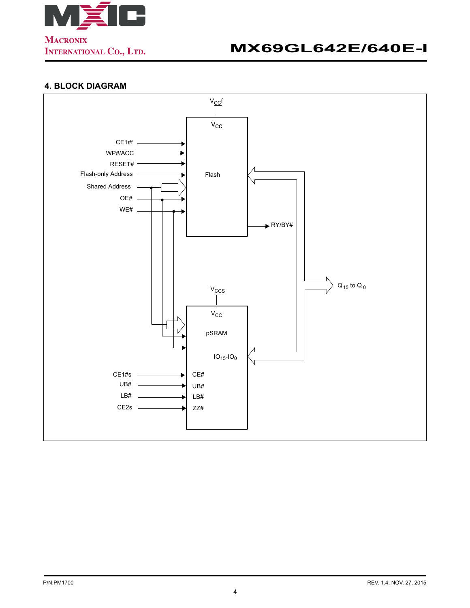

# **4. BLOCK DIAGRAM**

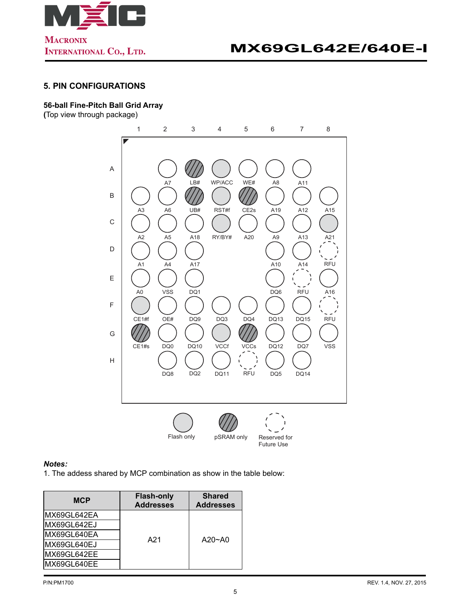

### **5. PIN CONFIGURATIONS**

#### **56-ball Fine-Pitch Ball Grid Array**

**(**Top view through package)



#### *Notes:*

1. The addess shared by MCP combination as show in the table below:

| <b>MCP</b>   | <b>Flash-only</b><br><b>Addresses</b> | <b>Shared</b><br><b>Addresses</b> |  |  |
|--------------|---------------------------------------|-----------------------------------|--|--|
| MX69GL642EA  |                                       |                                   |  |  |
| MX69GL642EJ  |                                       |                                   |  |  |
| IMX69GL640EA | A21                                   | $A20 - A0$                        |  |  |
| MX69GL640EJ  |                                       |                                   |  |  |
| IMX69GL642EE |                                       |                                   |  |  |
| MX69GL640EE  |                                       |                                   |  |  |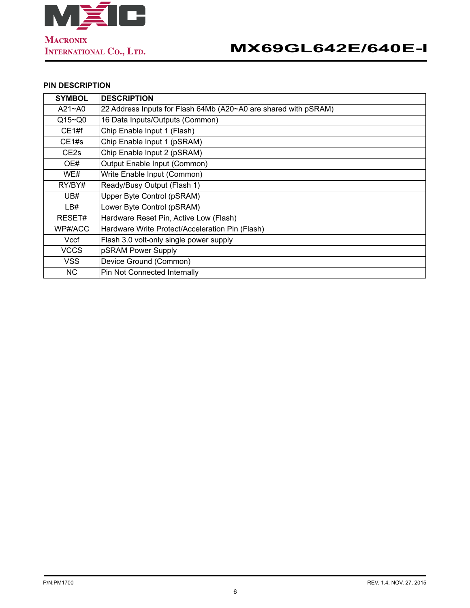

## **PIN DESCRIPTION**

| <b>SYMBOL</b>    | <b>IDESCRIPTION</b>                                             |
|------------------|-----------------------------------------------------------------|
| $A21 - A0$       | 22 Address Inputs for Flash 64Mb (A20~A0 are shared with pSRAM) |
| $Q15 - Q0$       | 16 Data Inputs/Outputs (Common)                                 |
| CE1#f            | Chip Enable Input 1 (Flash)                                     |
| CE1#s            | Chip Enable Input 1 (pSRAM)                                     |
| CE <sub>2s</sub> | Chip Enable Input 2 (pSRAM)                                     |
| OE#              | Output Enable Input (Common)                                    |
| WE#              | Write Enable Input (Common)                                     |
| RY/BY#           | Ready/Busy Output (Flash 1)                                     |
| UB#              | Upper Byte Control (pSRAM)                                      |
| LB#              | Lower Byte Control (pSRAM)                                      |
| RESET#           | Hardware Reset Pin, Active Low (Flash)                          |
| WP#/ACC          | Hardware Write Protect/Acceleration Pin (Flash)                 |
| Vccf             | Flash 3.0 volt-only single power supply                         |
| <b>VCCS</b>      | pSRAM Power Supply                                              |
| <b>VSS</b>       | Device Ground (Common)                                          |
| NC.              | Pin Not Connected Internally                                    |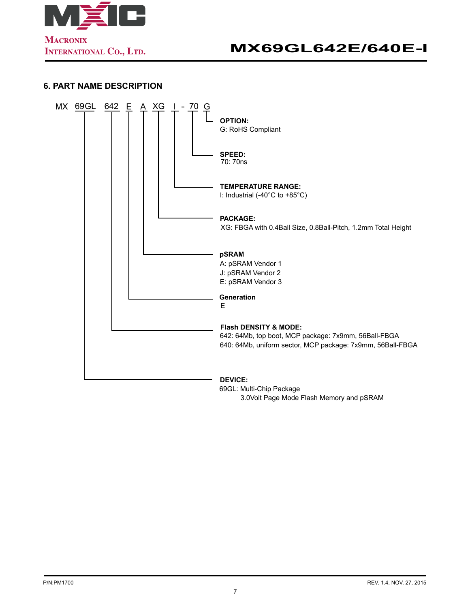

## **6. PART NAME DESCRIPTION**



69GL: Multi-Chip Package 3.0Volt Page Mode Flash Memory and pSRAM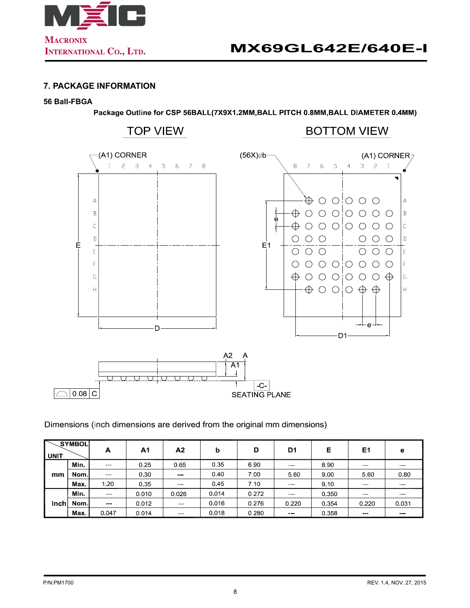

### **7. PACKAGE INFORMATION**

#### **56 Ball-FBGA**

Package Outline for CSP 56BALL(7X9X1.2MM, BALL PITCH 0.8MM, BALL DIAMETER 0.4MM)



Dimensions (inch dimensions are derived from the original mm dimensions)

| <b>UNIT</b> | <b>SYMBOL</b> | А             | Α1    | A2     | b     | D     | D <sub>1</sub>                                                                                                            | Е     | E <sub>1</sub> | е     |
|-------------|---------------|---------------|-------|--------|-------|-------|---------------------------------------------------------------------------------------------------------------------------|-------|----------------|-------|
| mm          | Min.          | $\sim$ $\sim$ | 0.25  | 0.65   | 0.35  | 690   | $\frac{1}{2} \left( \frac{1}{2} \right) \left( \frac{1}{2} \right) \left( \frac{1}{2} \right) \left( \frac{1}{2} \right)$ | 8.90  |                |       |
|             | Nom l         | $\sim$ $\sim$ | 0.30  | $\sim$ | 0.40  | 7 00  | 5.60                                                                                                                      | 9.00  | 5.60           | 0.80  |
|             | Max.          | 1.20          | 0.35  |        | 0.45  | 7.10  | ---                                                                                                                       | 9 10  |                |       |
| Inch        | Min.          | $-$           | 0.010 | 0.026  | 0.014 | 0.272 | $\frac{1}{2} \left( \frac{1}{2} \right) \left( \frac{1}{2} \right) \left( \frac{1}{2} \right) \left( \frac{1}{2} \right)$ | 0.350 |                |       |
|             | Nom l         | $-$           | 0.012 | $\sim$ | 0.016 | 0.276 | 0.220                                                                                                                     | 0.354 | 0.220          | 0.031 |
|             | Max.          | 0.047         | 0.014 |        | 0.018 | 0.280 | $\sim$ $\sim$                                                                                                             | 0.358 |                |       |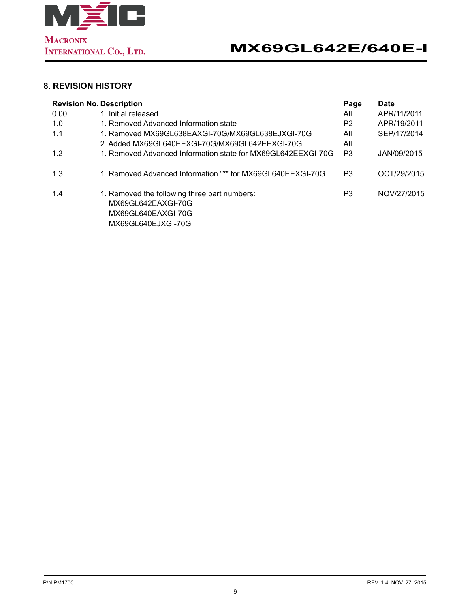

# **8. REVISION HISTORY**

| <b>Revision No. Description</b> | Page                                                         | <b>Date</b>    |             |
|---------------------------------|--------------------------------------------------------------|----------------|-------------|
| 0.00                            | 1. Initial released                                          | All            | APR/11/2011 |
| 1.0                             | 1. Removed Advanced Information state                        | P <sub>2</sub> | APR/19/2011 |
| 1.1                             | 1. Removed MX69GL638EAXGI-70G/MX69GL638EJXGI-70G             | All            | SEP/17/2014 |
|                                 | 2. Added MX69GL640EEXGI-70G/MX69GL642EEXGI-70G               | All            |             |
| 1.2                             | 1. Removed Advanced Information state for MX69GL642EEXGI-70G | P3             | JAN/09/2015 |
|                                 |                                                              |                |             |
| 1.3                             | 1. Removed Advanced Information "*" for MX69GL640EEXGI-70G   | P3             | OCT/29/2015 |
|                                 |                                                              |                |             |
| 1.4                             | 1. Removed the following three part numbers:                 | P3             | NOV/27/2015 |
|                                 | MX69GL642EAXGI-70G                                           |                |             |
|                                 | MX69GL640EAXGI-70G                                           |                |             |
|                                 | MX69GL640EJXGI-70G                                           |                |             |
|                                 |                                                              |                |             |